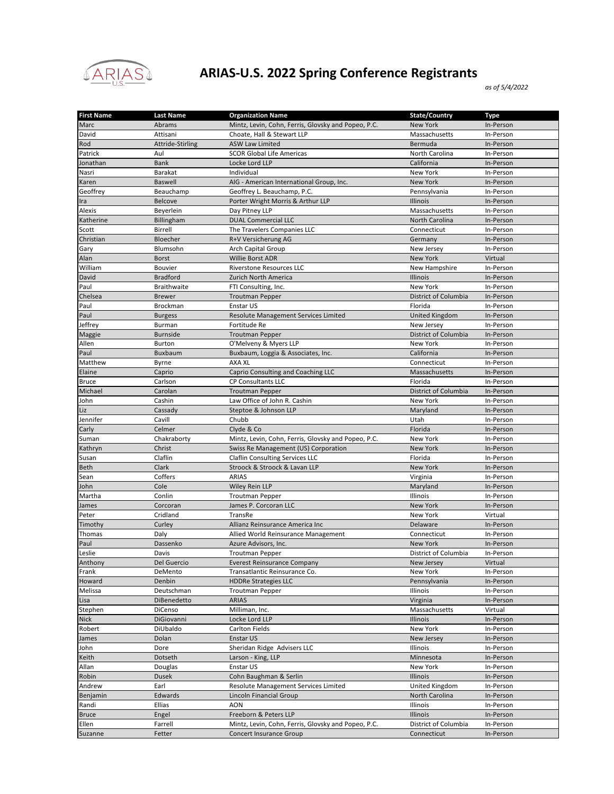

## **ARIAS-U.S. 2022 Spring Conference Registrants**

*as of 5/4/2022*

| <b>First Name</b> | <b>Last Name</b>   | <b>Organization Name</b>                            | State/Country         | <b>Type</b> |
|-------------------|--------------------|-----------------------------------------------------|-----------------------|-------------|
| Marc              | Abrams             | Mintz, Levin, Cohn, Ferris, Glovsky and Popeo, P.C. | <b>New York</b>       | In-Person   |
| David             | Attisani           | Choate, Hall & Stewart LLP                          | Massachusetts         | In-Person   |
| Rod               | Attride-Stirling   | <b>ASW Law Limited</b>                              | Bermuda               | In-Person   |
| Patrick           | Aul                | <b>SCOR Global Life Americas</b>                    | North Carolina        | In-Person   |
| Jonathan          | <b>Bank</b>        | Locke Lord LLP                                      | California            | In-Person   |
| Nasri             | Barakat            | Individual                                          | New York              | In-Person   |
| Karen             | <b>Baswell</b>     | AIG - American International Group, Inc.            | <b>New York</b>       | In-Person   |
| Geoffrey          | Beauchamp          | Geoffrey L. Beauchamp, P.C.                         | Pennsylvania          | In-Person   |
| Ira               | Belcove            | Porter Wright Morris & Arthur LLP                   | Illinois              | In-Person   |
| Alexis            | Beyerlein          | Day Pitney LLP                                      | Massachusetts         | In-Person   |
| Katherine         | Billingham         | <b>DUAL Commercial LLC</b>                          | North Carolina        | In-Person   |
| Scott             | Birrell            |                                                     | Connecticut           | In-Person   |
|                   |                    | The Travelers Companies LLC                         |                       |             |
| Christian         | Bloecher           | R+V Versicherung AG                                 | Germany               | In-Person   |
| Gary              | Blumsohn           | Arch Capital Group                                  | New Jersey            | In-Person   |
| Alan              | <b>Borst</b>       | <b>Willie Borst ADR</b>                             | <b>New York</b>       | Virtual     |
| William           | Bouvier            | <b>Riverstone Resources LLC</b>                     | New Hampshire         | In-Person   |
| David             | <b>Bradford</b>    | Zurich North America                                | Illinois              | In-Person   |
| Paul              | <b>Braithwaite</b> | FTI Consulting, Inc.                                | New York              | In-Person   |
| Chelsea           | <b>Brewer</b>      | <b>Troutman Pepper</b>                              | District of Columbia  | In-Person   |
| Paul              | <b>Brockman</b>    | Enstar US                                           | Florida               | In-Person   |
| Paul              | <b>Burgess</b>     | Resolute Management Services Limited                | <b>United Kingdom</b> | In-Person   |
| Jeffrey           | Burman             | Fortitude Re                                        | New Jersey            | In-Person   |
| Maggie            | <b>Burnside</b>    | <b>Troutman Pepper</b>                              | District of Columbia  | In-Person   |
| Allen             | <b>Burton</b>      | O'Melveny & Myers LLP                               | New York              | In-Person   |
| Paul              | Buxbaum            | Buxbaum, Loggia & Associates, Inc.                  | California            | In-Person   |
| Matthew           | Byrne              | AXA XL                                              | Connecticut           | In-Person   |
| Elaine            | Caprio             | Caprio Consulting and Coaching LLC                  | Massachusetts         | In-Person   |
| <b>Bruce</b>      | Carlson            | CP Consultants LLC                                  | Florida               | In-Person   |
| Michael           | Carolan            | <b>Troutman Pepper</b>                              | District of Columbia  | In-Person   |
| John              | Cashin             | Law Office of John R. Cashin                        | New York              | In-Person   |
|                   |                    |                                                     |                       |             |
| Liz               | Cassady            | Steptoe & Johnson LLP                               | Maryland              | In-Person   |
| Jennifer          | Cavill             | Chubb                                               | Utah                  | In-Person   |
| Carly             | Celmer             | Clyde & Co                                          | Florida               | In-Person   |
| Suman             | Chakraborty        | Mintz, Levin, Cohn, Ferris, Glovsky and Popeo, P.C. | New York              | In-Person   |
| Kathryn           | Christ             | Swiss Re Management (US) Corporation                | New York              | In-Person   |
| Susan             | Claflin            | Claflin Consulting Services LLC                     | Florida               | In-Person   |
| <b>Beth</b>       | Clark              | Stroock & Stroock & Lavan LLP                       | New York              | In-Person   |
| Sean              | Coffers            | <b>ARIAS</b>                                        | Virginia              | In-Person   |
| John              | Cole               | Wiley Rein LLP                                      | Maryland              | In-Person   |
| Martha            | Conlin             | <b>Troutman Pepper</b>                              | Illinois              | In-Person   |
| James             | Corcoran           | James P. Corcoran LLC                               | New York              | In-Person   |
| Peter             | Cridland           | TransRe                                             | New York              | Virtual     |
| Timothy           | Curley             | Allianz Reinsurance America Inc                     | Delaware              | In-Person   |
| Thomas            | Daly               | Allied World Reinsurance Management                 | Connecticut           | In-Person   |
| Paul              | Dassenko           | Azure Advisors, Inc.                                | New York              | In-Person   |
| Leslie            | Davis              | <b>Troutman Pepper</b>                              | District of Columbia  | In-Person   |
| Anthony           | Del Guercio        | <b>Everest Reinsurance Company</b>                  | New Jersey            | Virtual     |
| Frank             | DeMento            | Transatlantic Reinsurance Co.                       | New York              | In-Person   |
| Howard            | Denbin             | <b>HDDRe Strategies LLC</b>                         | Pennsylvania          | In-Person   |
| Melissa           | Deutschman         | <b>Troutman Pepper</b>                              | Illinois              | In-Person   |
| Lisa              | DiBenedetto        | <b>ARIAS</b>                                        | Virginia              | In-Person   |
|                   |                    |                                                     |                       |             |
| Stephen           | DiCenso            | Milliman, Inc.                                      | Massachusetts         | Virtual     |
| <b>Nick</b>       | DiGiovanni         | Locke Lord LLP                                      | Illinois              | In-Person   |
| Robert            | DiUbaldo           | Carlton Fields                                      | New York              | In-Person   |
| James             | Dolan              | Enstar US                                           | New Jersey            | In-Person   |
| John              | Dore               | Sheridan Ridge Advisers LLC                         | Illinois              | In-Person   |
| Keith             | Dotseth            | Larson - King, LLP                                  | Minnesota             | In-Person   |
| Allan             | Douglas            | Enstar US                                           | New York              | In-Person   |
| Robin             | <b>Dusek</b>       | Cohn Baughman & Serlin                              | Illinois              | In-Person   |
| Andrew            | Earl               | Resolute Management Services Limited                | United Kingdom        | In-Person   |
| Benjamin          | Edwards            | Lincoln Financial Group                             | North Carolina        | In-Person   |
| Randi             | Ellias             | AON                                                 | Illinois              | In-Person   |
| <b>Bruce</b>      | Engel              | Freeborn & Peters LLP                               | Illinois              | In-Person   |
| Ellen             | Farrell            | Mintz, Levin, Cohn, Ferris, Glovsky and Popeo, P.C. | District of Columbia  | In-Person   |
| Suzanne           | Fetter             | <b>Concert Insurance Group</b>                      | Connecticut           | In-Person   |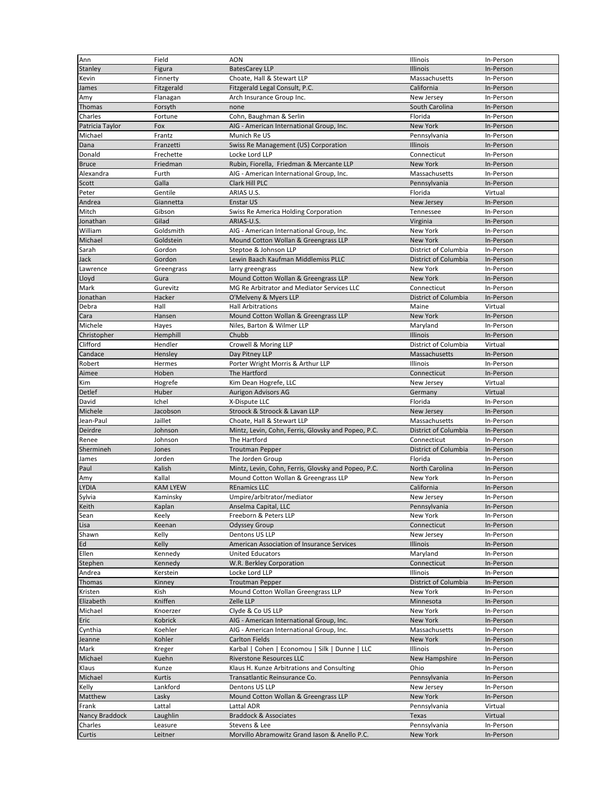| Ann                   | Field                | <b>AON</b>                                                     | Illinois                       | In-Person              |
|-----------------------|----------------------|----------------------------------------------------------------|--------------------------------|------------------------|
| Stanley               | Figura               | <b>BatesCarey LLP</b>                                          | Illinois                       | In-Person              |
| Kevin                 | Finnerty             | Choate, Hall & Stewart LLP                                     | Massachusetts                  | In-Person              |
| James                 | Fitzgerald           | Fitzgerald Legal Consult, P.C.                                 | California                     | In-Person              |
| Amy                   | Flanagan             | Arch Insurance Group Inc.                                      | New Jersey                     | In-Person              |
| Thomas                | Forsyth              | none                                                           | South Carolina                 | In-Person              |
| Charles               | Fortune              | Cohn, Baughman & Serlin                                        | Florida                        | In-Person              |
| Patricia Taylor       | Fox                  | AIG - American International Group, Inc.                       | <b>New York</b>                | In-Person              |
| Michael               | Frantz               | Munich Re US                                                   | Pennsylvania                   | In-Person              |
| Dana                  | Franzetti            | Swiss Re Management (US) Corporation                           | Illinois                       | In-Person              |
| Donald                | Frechette            | Locke Lord LLP                                                 | Connecticut                    | In-Person              |
| <b>Bruce</b>          | Friedman             | Rubin, Fiorella, Friedman & Mercante LLP                       | <b>New York</b>                | In-Person              |
| Alexandra             | Furth                | AIG - American International Group, Inc.                       | Massachusetts                  | In-Person              |
| Scott                 | Galla                | Clark Hill PLC                                                 | Pennsylvania                   | In-Person              |
|                       |                      |                                                                |                                |                        |
| Peter                 | Gentile<br>Giannetta | ARIAS U.S.                                                     | Florida                        | Virtual                |
| Andrea                |                      | Enstar US                                                      | New Jersey                     | In-Person              |
| Mitch                 | Gibson               | Swiss Re America Holding Corporation                           | Tennessee                      | In-Person              |
| Jonathan              | Gilad                | ARIAS-U.S.                                                     | Virginia                       | In-Person              |
| William               | Goldsmith            | AIG - American International Group, Inc.                       | New York                       | In-Person              |
| Michael               | Goldstein            | Mound Cotton Wollan & Greengrass LLP                           | <b>New York</b>                | In-Person              |
| Sarah                 | Gordon               | Steptoe & Johnson LLP                                          | District of Columbia           | In-Person              |
| Jack                  | Gordon               | Lewin Baach Kaufman Middlemiss PLLC                            | District of Columbia           | In-Person              |
| Lawrence              | Greengrass           | larry greengrass                                               | New York                       | In-Person              |
| Lloyd                 | Gura                 | Mound Cotton Wollan & Greengrass LLP                           | New York                       | In-Person              |
| Mark                  | Gurevitz             | MG Re Arbitrator and Mediator Services LLC                     | Connecticut                    | In-Person              |
| Jonathan              | Hacker               | O'Melveny & Myers LLP                                          | District of Columbia           | In-Person              |
| Debra                 | Hall                 | <b>Hall Arbitrations</b>                                       | Maine                          | Virtual                |
| Cara                  | Hansen               | Mound Cotton Wollan & Greengrass LLP                           | <b>New York</b>                | In-Person              |
| Michele               | Hayes                | Niles, Barton & Wilmer LLP                                     | Maryland                       | In-Person              |
| Christopher           | Hemphill             | Chubb                                                          | Illinois                       | In-Person              |
| Clifford              | Hendler              | Crowell & Moring LLP                                           | District of Columbia           | Virtual                |
| Candace               | Hensley              | Day Pitney LLP                                                 | Massachusetts                  | In-Person              |
| Robert                | Hermes               | Porter Wright Morris & Arthur LLP                              | Illinois                       | In-Person              |
| Aimee                 | Hoben                | The Hartford                                                   | Connecticut                    | In-Person              |
| Kim                   | Hogrefe              | Kim Dean Hogrefe, LLC                                          | New Jersey                     | Virtual                |
| Detlef                | Huber                | <b>Aurigon Advisors AG</b>                                     | Germany                        | Virtual                |
| David                 | Ichel                | X-Dispute LLC                                                  | Florida                        | In-Person              |
| Michele               | Jacobson             | Stroock & Stroock & Lavan LLP                                  | New Jersey                     | In-Person              |
| Jean-Paul             | Jaillet              | Choate, Hall & Stewart LLP                                     | Massachusetts                  | In-Person              |
| Deirdre               | Johnson              | Mintz, Levin, Cohn, Ferris, Glovsky and Popeo, P.C.            | District of Columbia           | In-Person              |
| Renee                 | Johnson              | The Hartford                                                   | Connecticut                    | In-Person              |
| Shermineh             | Jones                | <b>Troutman Pepper</b>                                         | District of Columbia           | In-Person              |
| James                 | Jorden               | The Jorden Group                                               | Florida                        | In-Person              |
| Paul                  | Kalish               | Mintz, Levin, Cohn, Ferris, Glovsky and Popeo, P.C.            | <b>North Carolina</b>          | In-Person              |
| Amy                   | Kallal               | Mound Cotton Wollan & Greengrass LLP                           | New York                       | In-Person              |
| <b>LYDIA</b>          | <b>KAM LYEW</b>      | <b>REnamics LLC</b>                                            | California                     | In-Person              |
| Sylvia                | Kaminsky             | Umpire/arbitrator/mediator                                     |                                |                        |
| Keith                 |                      |                                                                |                                |                        |
| Sean                  |                      |                                                                | New Jersey                     | In-Person              |
|                       | Kaplan               | Anselma Capital, LLC                                           | Pennsylvania                   | In-Person              |
|                       | Keely                | Freeborn & Peters LLP                                          | New York                       | In-Person              |
| Lisa                  | Keenan               | <b>Odyssey Group</b><br>Dentons US LLP                         | Connecticut                    | In-Person              |
| Shawn                 | Kelly                | American Association of Insurance Services                     | New Jersey                     | In-Person              |
| Ed                    | Kelly                |                                                                | Illinois                       | In-Person              |
| Ellen                 | Kennedy              | <b>United Educators</b>                                        | Maryland                       | In-Person              |
| Stephen               | Kennedy              | W.R. Berkley Corporation                                       | Connecticut<br><b>Illinois</b> | In-Person              |
| Andrea                | Kerstein             | Locke Lord LLP                                                 |                                | In-Person              |
| Thomas                | Kinney               | <b>Troutman Pepper</b>                                         | District of Columbia           | In-Person              |
| Kristen               | Kish                 | Mound Cotton Wollan Greengrass LLP                             | New York                       | In-Person              |
| Elizabeth             | Kniffen              | Zelle LLP                                                      | Minnesota                      | In-Person              |
| Michael               | Knoerzer             | Clyde & Co US LLP                                              | New York                       | In-Person              |
| Eric                  | Kobrick              | AIG - American International Group, Inc.                       | New York                       | In-Person              |
| Cynthia               | Koehler              | AIG - American International Group, Inc.                       | Massachusetts                  | In-Person              |
| Jeanne                | Kohler               | <b>Carlton Fields</b>                                          | New York                       | In-Person              |
| Mark                  | Kreger               | Karbal   Cohen   Economou   Silk   Dunne   LLC                 | Illinois                       | In-Person              |
| Michael               | Kuehn                | Riverstone Resources LLC                                       | New Hampshire                  | In-Person              |
| Klaus                 | Kunze                | Klaus H. Kunze Arbitrations and Consulting                     | Ohio                           | In-Person              |
| Michael               | Kurtis               | Transatlantic Reinsurance Co.                                  | Pennsylvania                   | In-Person              |
| Kelly                 | Lankford             | Dentons US LLP                                                 | New Jersey                     | In-Person              |
| Matthew               | Lasky                | Mound Cotton Wollan & Greengrass LLP                           | New York                       | In-Person              |
| Frank                 | Lattal               | Lattal ADR                                                     | Pennsylvania                   | Virtual                |
| <b>Nancy Braddock</b> | Laughlin             | <b>Braddock &amp; Associates</b>                               | Texas                          | Virtual                |
| Charles<br>Curtis     | Leasure<br>Leitner   | Stevens & Lee<br>Morvillo Abramowitz Grand Iason & Anello P.C. | Pennsylvania<br>New York       | In-Person<br>In-Person |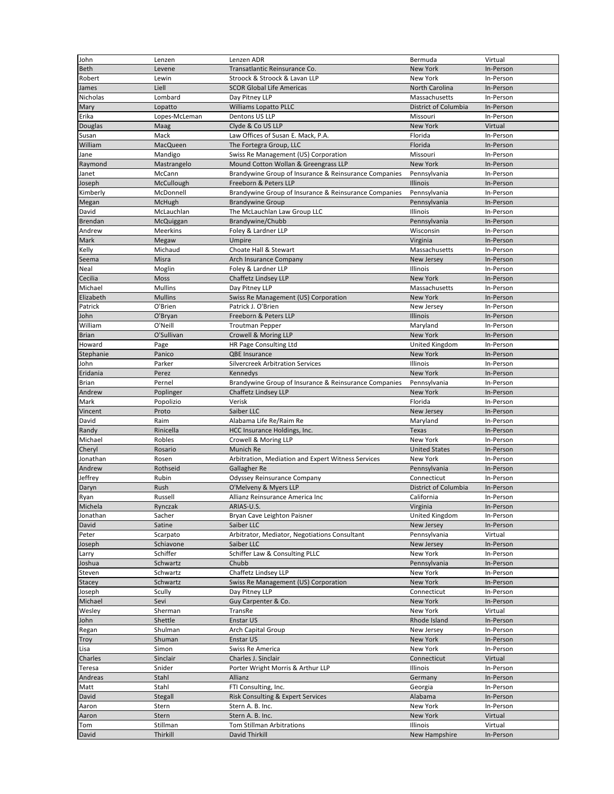| John           | Lenzen          | Lenzen ADR                                            | Bermuda              | Virtual   |
|----------------|-----------------|-------------------------------------------------------|----------------------|-----------|
| <b>Beth</b>    | Levene          | Transatlantic Reinsurance Co.                         | <b>New York</b>      | In-Person |
| Robert         | Lewin           | Stroock & Stroock & Lavan LLP                         | New York             | In-Person |
| James          | Liell           | <b>SCOR Global Life Americas</b>                      | North Carolina       | In-Person |
| Nicholas       | Lombard         | Day Pitney LLP                                        | Massachusetts        | In-Person |
| Mary           | Lopatto         | <b>Williams Lopatto PLLC</b>                          | District of Columbia | In-Person |
| Erika          | Lopes-McLeman   | Dentons US LLP                                        | Missouri             | In-Person |
| Douglas        | Maag            | Clyde & Co US LLP                                     | <b>New York</b>      | Virtual   |
| Susan          | Mack            | Law Offices of Susan E. Mack, P.A.                    | Florida              | In-Person |
| William        | MacQueen        | The Fortegra Group, LLC                               | Florida              | In-Person |
| Jane           | Mandigo         | Swiss Re Management (US) Corporation                  | Missouri             | In-Person |
| Raymond        | Mastrangelo     | Mound Cotton Wollan & Greengrass LLP                  | <b>New York</b>      | In-Person |
| Janet          | McCann          | Brandywine Group of Insurance & Reinsurance Companies | Pennsylvania         | In-Person |
| Joseph         | McCullough      | Freeborn & Peters LLP                                 | Illinois             | In-Person |
| Kimberly       | McDonnell       | Brandywine Group of Insurance & Reinsurance Companies | Pennsylvania         | In-Person |
| Megan          | McHugh          | <b>Brandywine Group</b>                               | Pennsylvania         | In-Person |
| David          | McLauchlan      | The McLauchlan Law Group LLC                          | Illinois             | In-Person |
| <b>Brendan</b> | McQuiggan       | Brandywine/Chubb                                      | Pennsylvania         | In-Person |
| Andrew         | <b>Meerkins</b> | Foley & Lardner LLP                                   | Wisconsin            | In-Person |
| Mark           | Megaw           | Umpire                                                | Virginia             | In-Person |
| Kelly          | Michaud         | Choate Hall & Stewart                                 | Massachusetts        | In-Person |
| Seema          | Misra           | Arch Insurance Company                                | New Jersey           | In-Person |
| Neal           | Moglin          | Foley & Lardner LLP                                   | Illinois             | In-Person |
| Cecilia        | <b>Moss</b>     | Chaffetz Lindsey LLP                                  | New York             | In-Person |
| Michael        | <b>Mullins</b>  | Day Pitney LLP                                        | Massachusetts        | In-Person |
| Elizabeth      | <b>Mullins</b>  | Swiss Re Management (US) Corporation                  | New York             | In-Person |
| Patrick        | O'Brien         | Patrick J. O'Brien                                    | New Jersey           | In-Person |
| John           | O'Bryan         | Freeborn & Peters LLP                                 | Illinois             | In-Person |
| William        | O'Neill         | <b>Troutman Pepper</b>                                | Maryland             | In-Person |
| <b>Brian</b>   | O'Sullivan      | Crowell & Moring LLP                                  | New York             | In-Person |
| Howard         | Page            | HR Page Consulting Ltd                                | United Kingdom       | In-Person |
| Stephanie      | Panico          | QBE Insurance                                         | New York             | In-Person |
| John           | Parker          | <b>Silvercreek Arbitration Services</b>               | Illinois             | In-Person |
| Eridania       | Perez           | Kennedys                                              | New York             | In-Person |
| <b>Brian</b>   | Pernel          | Brandywine Group of Insurance & Reinsurance Companies | Pennsylvania         | In-Person |
| Andrew         | Poplinger       | Chaffetz Lindsey LLP                                  | New York             | In-Person |
| Mark           | Popolizio       | Verisk                                                | Florida              | In-Person |
| Vincent        | Proto           | Saiber LLC                                            | New Jersey           | In-Person |
| David          | Raim            | Alabama Life Re/Raim Re                               | Maryland             | In-Person |
| Randy          | Rinicella       | HCC Insurance Holdings, Inc.                          | <b>Texas</b>         | In-Person |
| Michael        | Robles          | Crowell & Moring LLP                                  | New York             | In-Person |
| Cheryl         | Rosario         | Munich Re                                             | <b>United States</b> | In-Person |
| Jonathan       | Rosen           | Arbitration, Mediation and Expert Witness Services    | New York             | In-Person |
| Andrew         | Rothseid        | Gallagher Re                                          | Pennsylvania         | In-Person |
| Jeffrey        | Rubin           | Odyssey Reinsurance Company                           | Connecticut          | In-Person |
| Daryn          | Rush            | O'Melveny & Myers LLP                                 | District of Columbia | In-Person |
| Ryan           | Russell         | Allianz Reinsurance America Inc                       | California           | In-Person |
| Michela        | Rynczak         | ARIAS-U.S.                                            | Virginia             | In-Person |
| Jonathan       | Sacher          | Bryan Cave Leighton Paisner                           | United Kingdom       | In-Person |
| David          | Satine          | Saiber LLC                                            | New Jersey           | In-Person |
| Peter          | Scarpato        | Arbitrator, Mediator, Negotiations Consultant         | Pennsylvania         | Virtual   |
| Joseph         | Schiavone       | Saiber LLC                                            | New Jersey           | In-Person |
| Larry          | Schiffer        | Schiffer Law & Consulting PLLC                        | New York             | In-Person |
| Joshua         | Schwartz        | Chubb                                                 | Pennsylvania         | In-Person |
| Steven         | Schwartz        | Chaffetz Lindsey LLP                                  | New York             | In-Person |
| <b>Stacey</b>  | Schwartz        | Swiss Re Management (US) Corporation                  | New York             | In-Person |
| Joseph         | Scully          | Day Pitney LLP                                        | Connecticut          | In-Person |
| Michael        | Sevi            | Guy Carpenter & Co.                                   | New York             | In-Person |
| Wesley         | Sherman         | TransRe                                               | New York             | Virtual   |
| John           | Shettle         | Enstar US                                             | Rhode Island         | In-Person |
| Regan          | Shulman         | Arch Capital Group                                    | New Jersey           | In-Person |
| Troy           | Shuman          | Enstar US                                             | New York             | In-Person |
| Lisa           | Simon           | Swiss Re America                                      | New York             | In-Person |
| Charles        | Sinclair        | Charles J. Sinclair                                   | Connecticut          | Virtual   |
| Teresa         | Snider          | Porter Wright Morris & Arthur LLP                     | Illinois             | In-Person |
| Andreas        | Stahl           | Allianz                                               | Germany              | In-Person |
| Matt           | Stahl           | FTI Consulting, Inc.                                  | Georgia              | In-Person |
| David          | Stegall         | Risk Consulting & Expert Services                     | Alabama              | In-Person |
| Aaron          | Stern           | Stern A. B. Inc.                                      | New York             | In-Person |
| Aaron          | Stern           | Stern A. B. Inc.                                      | New York             | Virtual   |
| Tom            | Stillman        | Tom Stillman Arbitrations                             | Illinois             | Virtual   |
| David          | Thirkill        | David Thirkill                                        | New Hampshire        | In-Person |